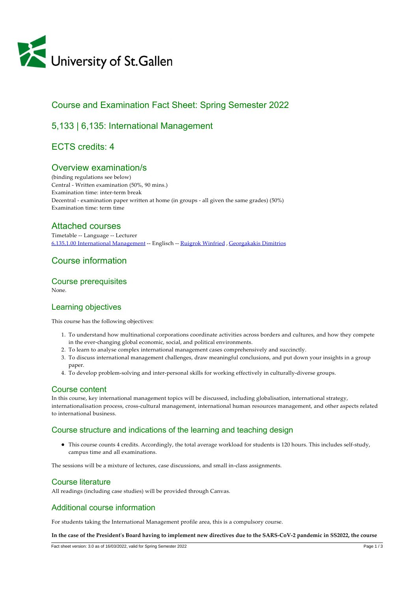

# Course and Examination Fact Sheet: Spring Semester 2022

# 5,133 | 6,135: International Management

# ECTS credits: 4

## Overview examination/s

(binding regulations see below) Central ‑ Written examination (50%, 90 mins.) Examination time: inter-term break Decentral - examination paper written at home (in groups - all given the same grades) (50%) Examination time: term time

## Attached courses

Timetable ‑‑ Language ‑‑ Lecturer [6,135,1.00 International Management](https://tools.unisg.ch/Url/csb3hz) ‑‑ Englisch ‑‑ [Ruigrok Winfried](https://www.unisg.ch/Personenverzeichnis/54fd6507-bc4e-438f-80dc-7964b0f4a853) , [Georgakakis Dimitrios](https://www.unisg.ch/Personenverzeichnis/529bfee2-218c-4ec9-9ea2-7b5554c01fa8)

# Course information

### Course prerequisites

None.

## Learning objectives

This course has the following objectives:

- 1. To understand how multinational corporations coordinate activities across borders and cultures, and how they compete in the ever-changing global economic, social, and political environments.
- 2. To learn to analyse complex international management cases comprehensively and succinctly.
- 3. To discuss international management challenges, draw meaningful conclusions, and put down your insights in a group paper.
- 4. To develop problem‑solving and inter‑personal skills for working effectively in culturally‑diverse groups.

## Course content

In this course, key international management topics will be discussed, including globalisation, international strategy, internationalisation process, cross‑cultural management, international human resources management, and other aspects related to international business.

## Course structure and indications of the learning and teaching design

This course counts 4 credits. Accordingly, the total average workload for students is 120 hours. This includes self‑study, campus time and all examinations.

The sessions will be a mixture of lectures, case discussions, and small in‑class assignments.

### Course literature

All readings (including case studies) will be provided through Canvas.

## Additional course information

For students taking the International Management profile area, this is a compulsory course.

**In the case of the Presidentʹs Board having to implement new directives due to the SARS‑CoV‑2 pandemic in SS2022, the course**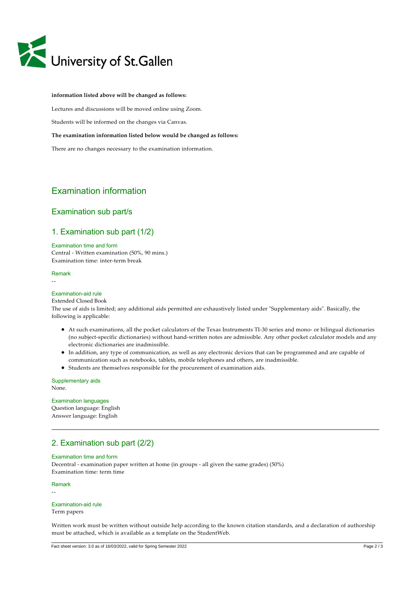

### **information listed above will be changed as follows:**

Lectures and discussions will be moved online using Zoom.

Students will be informed on the changes via Canvas.

#### **The examination information listed below would be changed as follows:**

There are no changes necessary to the examination information.

## Examination information

### Examination sub part/s

### 1. Examination sub part (1/2)

Examination time and form Central ‑ Written examination (50%, 90 mins.) Examination time: inter-term break

### Remark

‑‑

#### Examination-aid rule

#### Extended Closed Book

The use of aids is limited; any additional aids permitted are exhaustively listed under "Supplementary aids". Basically, the following is applicable:

- At such examinations, all the pocket calculators of the Texas Instruments TI‑30 series and mono‑ or bilingual dictionaries (no subject‑specific dictionaries) without hand‑written notes are admissible. Any other pocket calculator models and any electronic dictionaries are inadmissible.
- In addition, any type of communication, as well as any electronic devices that can be programmed and are capable of communication such as notebooks, tablets, mobile telephones and others, are inadmissible.
- Students are themselves responsible for the procurement of examination aids.

Supplementary aids None.

### Examination languages Question language: English Answer language: English

## 2. Examination sub part (2/2)

### Examination time and form

Decentral ‑ examination paper written at home (in groups ‑ all given the same grades) (50%) Examination time: term time

#### Remark

‑‑

#### Examination-aid rule Term papers

Written work must be written without outside help according to the known citation standards, and a declaration of authorship must be attached, which is available as a template on the StudentWeb.